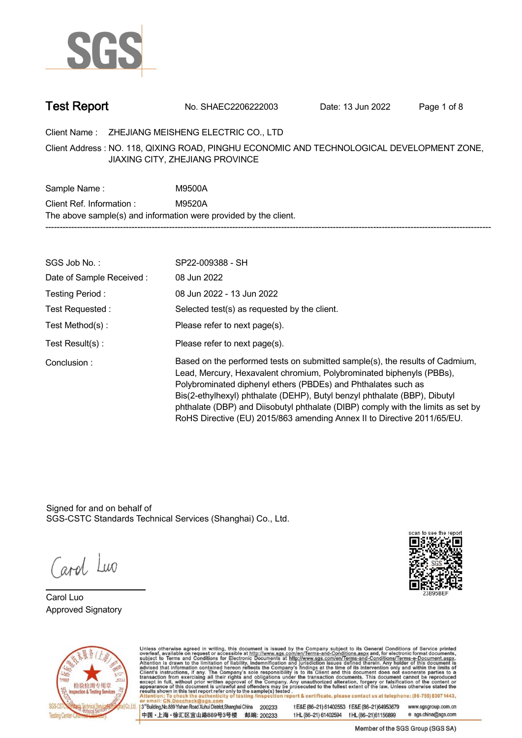

**Test Report. No. SHAEC2206222003 . Date: 13 Jun 2022. Page 1 of 8.**

**Client Name : ZHEJIANG MEISHENG ELECTRIC CO., LTD .**

**NO. 118, QIXING ROAD, PINGHU ECONOMIC AND TECHNOLOGICAL DEVELOPMENT ZONE, . Client Address : JIAXING CITY, ZHEJIANG PROVINCE**

**Sample Name : M9500A. Client Ref. Information : . M9520A. The above sample(s) and information were provided by the client. -----------------------------------------------------------------------------------------------------------------------------------------------------------**

| SGS Job No.:             | SP22-009388 - SH                                                                                                                                                                                                                                                                                                                                                                                                                                                  |
|--------------------------|-------------------------------------------------------------------------------------------------------------------------------------------------------------------------------------------------------------------------------------------------------------------------------------------------------------------------------------------------------------------------------------------------------------------------------------------------------------------|
| Date of Sample Received: | 08 Jun 2022                                                                                                                                                                                                                                                                                                                                                                                                                                                       |
| Testing Period:          | 08 Jun 2022 - 13 Jun 2022                                                                                                                                                                                                                                                                                                                                                                                                                                         |
| Test Requested :         | Selected test(s) as requested by the client.                                                                                                                                                                                                                                                                                                                                                                                                                      |
| Test Method(s):          | Please refer to next page(s).                                                                                                                                                                                                                                                                                                                                                                                                                                     |
| Test $Result(s)$ :       | Please refer to next page(s).                                                                                                                                                                                                                                                                                                                                                                                                                                     |
| Conclusion:              | Based on the performed tests on submitted sample(s), the results of Cadmium,<br>Lead, Mercury, Hexavalent chromium, Polybrominated biphenyls (PBBs),<br>Polybrominated diphenyl ethers (PBDEs) and Phthalates such as<br>Bis(2-ethylhexyl) phthalate (DEHP), Butyl benzyl phthalate (BBP), Dibutyl<br>phthalate (DBP) and Diisobutyl phthalate (DIBP) comply with the limits as set by<br>RoHS Directive (EU) 2015/863 amending Annex II to Directive 2011/65/EU. |

Signed for and on behalf of SGS-CSTC Standards Technical Services (Shanghai) Co., Ltd..

Carol Luo

**Carol Luo. Approved Signatory .**





Unless otherwise agreed in writing, this document is issued by the Company subject to its General Conditions of Service printed overleaf, available on request or accessible at http://www.sgs.com/en/Terms-and-Conditions.asp

13<sup>rd</sup> Building No.889 Yishan Road Xuhui District Shanghai China 200233 中国·上海·徐汇区宜山路889号3号楼 邮编: 200233 tE&E (86-21) 61402553 fE&E (86-21)64953679 www.sgsgroup.com.cn

tHL (86-21) 61402594 fHL (86-21) 61156899

Member of the SGS Group (SGS SA)

e sgs.china@sgs.com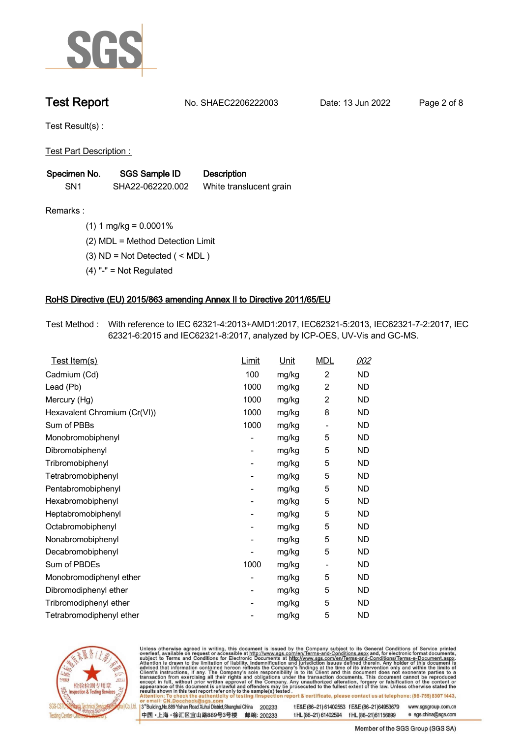

**Test Report. No. SHAEC2206222003 . Date: 13 Jun 2022. Page 2 of 8.**

**Test Result(s) :.**

**Test Part Description : .**

| Specimen No.    | SGS Sample ID    | <b>Description</b>      |  |
|-----------------|------------------|-------------------------|--|
| SN <sub>1</sub> | SHA22-062220.002 | White translucent grain |  |

**Remarks :.(1) 1 mg/kg = 0.0001% .**

**(2) MDL = Method Detection Limit .**

- **(3) ND = Not Detected ( < MDL ) .**
- **(4) "-" = Not Regulated .**

### **RoHS Directive (EU) 2015/863 amending Annex II to Directive 2011/65/EU.**

**Test Method :. With reference to IEC 62321-4:2013+AMD1:2017, IEC62321-5:2013, IEC62321-7-2:2017, IEC 62321-6:2015 and IEC62321-8:2017, analyzed by ICP-OES, UV-Vis and GC-MS. .**

| Test Item(s)                 | Limit          | <u>Unit</u> | <b>MDL</b>                   | 002       |
|------------------------------|----------------|-------------|------------------------------|-----------|
| Cadmium (Cd)                 | 100            | mg/kg       | $\overline{2}$               | ND        |
| Lead (Pb)                    | 1000           | mg/kg       | $\overline{2}$               | <b>ND</b> |
| Mercury (Hg)                 | 1000           | mg/kg       | $\overline{2}$               | <b>ND</b> |
| Hexavalent Chromium (Cr(VI)) | 1000           | mg/kg       | 8                            | <b>ND</b> |
| Sum of PBBs                  | 1000           | mg/kg       | $\qquad \qquad \blacksquare$ | ND        |
| Monobromobiphenyl            |                | mg/kg       | 5                            | ND        |
| Dibromobiphenyl              | -              | mg/kg       | 5                            | ND        |
| Tribromobiphenyl             |                | mg/kg       | 5                            | ND.       |
| Tetrabromobiphenyl           | -              | mg/kg       | 5                            | ND        |
| Pentabromobiphenyl           | -              | mg/kg       | 5                            | <b>ND</b> |
| Hexabromobiphenyl            | -              | mg/kg       | 5                            | ND        |
| Heptabromobiphenyl           |                | mg/kg       | 5                            | <b>ND</b> |
| Octabromobiphenyl            | $\overline{a}$ | mg/kg       | 5                            | ND        |
| Nonabromobiphenyl            |                | mg/kg       | 5                            | <b>ND</b> |
| Decabromobiphenyl            |                | mg/kg       | 5                            | ND        |
| Sum of PBDEs                 | 1000           | mg/kg       | $\overline{\phantom{a}}$     | ND.       |
| Monobromodiphenyl ether      | -              | mg/kg       | 5                            | ND        |
| Dibromodiphenyl ether        | -              | mg/kg       | 5                            | ND        |
| Tribromodiphenyl ether       | -              | mg/kg       | 5                            | <b>ND</b> |
| Tetrabromodiphenyl ether     |                | mg/kg       | 5                            | <b>ND</b> |



Unless otherwise agreed in writing, this document is issued by the Company subject to its General Conditions of Service printed overleaf, available on request or accessible at http://www.sgs.com/en/Terms-and-Conditions.asp

3<sup>rd</sup> Building, No.889 Yishan Road Xuhui District, Shanghai China 200233 中国·上海·徐汇区宜山路889号3号楼 邮编: 200233 tE&E (86-21) 61402553 fE&E (86-21)64953679 www.sgsgroup.com.cn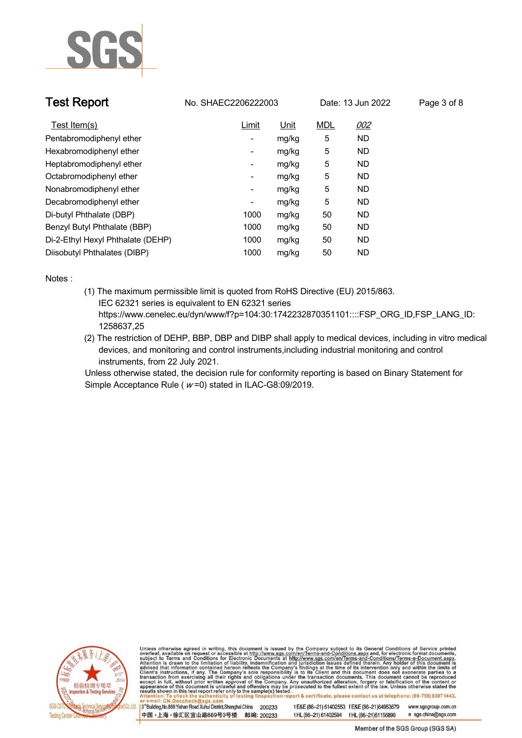

| <b>Test Report</b>                | No. SHAEC2206222003      |       |            | Date: 13 Jun 2022 | Page 3 of 8 |
|-----------------------------------|--------------------------|-------|------------|-------------------|-------------|
| Test Item(s)                      | Limit                    | Unit  | <b>MDL</b> | 002               |             |
| Pentabromodiphenyl ether          | -                        | mg/kg | 5          | <b>ND</b>         |             |
| Hexabromodiphenyl ether           | -                        | mg/kg | 5          | ND.               |             |
| Heptabromodiphenyl ether          | $\overline{\phantom{a}}$ | mg/kg | 5          | ND.               |             |
| Octabromodiphenyl ether           | $\overline{\phantom{a}}$ | mg/kg | 5          | <b>ND</b>         |             |
| Nonabromodiphenyl ether           | ۰                        | mg/kg | 5          | ND.               |             |
| Decabromodiphenyl ether           | $\overline{\phantom{a}}$ | mg/kg | 5          | <b>ND</b>         |             |
| Di-butyl Phthalate (DBP)          | 1000                     | mg/kg | 50         | <b>ND</b>         |             |
| Benzyl Butyl Phthalate (BBP)      | 1000                     | mg/kg | 50         | <b>ND</b>         |             |
| Di-2-Ethyl Hexyl Phthalate (DEHP) | 1000                     | mg/kg | 50         | <b>ND</b>         |             |
| Diisobutyl Phthalates (DIBP)      | 1000                     | mg/kg | 50         | <b>ND</b>         |             |

**Notes :.**

- **(1) The maximum permissible limit is quoted from RoHS Directive (EU) 2015/863. IEC 62321 series is equivalent to EN 62321 series https://www.cenelec.eu/dyn/www/f?p=104:30:1742232870351101::::FSP\_ORG\_ID,FSP\_LANG\_ID: 1258637,25**
- **(2) The restriction of DEHP, BBP, DBP and DIBP shall apply to medical devices, including in vitro medical devices, and monitoring and control instruments,including industrial monitoring and control instruments, from 22 July 2021. .**

**Unless otherwise stated, the decision rule for conformity reporting is based on Binary Statement for Simple Acceptance Rule ( <sup>w</sup> =0) stated in ILAC-G8:09/2019. .**



Unless otherwise agreed in writing, this document is issued by the Company subject to its General Conditions of Service printed overleaf, available on request or accessible at http://www.sgs.com/en/Terms-and-Conditions.asp

3<sup>14</sup> Building, No.889 Yishan Road Xuhui District, Shanghai China 200233 中国·上海·徐汇区宜山路889号3号楼 邮编: 200233 t E&E (86-21) 61402553 f E&E (86-21)64953679 www.sgsgroup.com.cn

e sgs.china@sgs.com t HL (86-21) 61402594 f HL (86-21) 61156899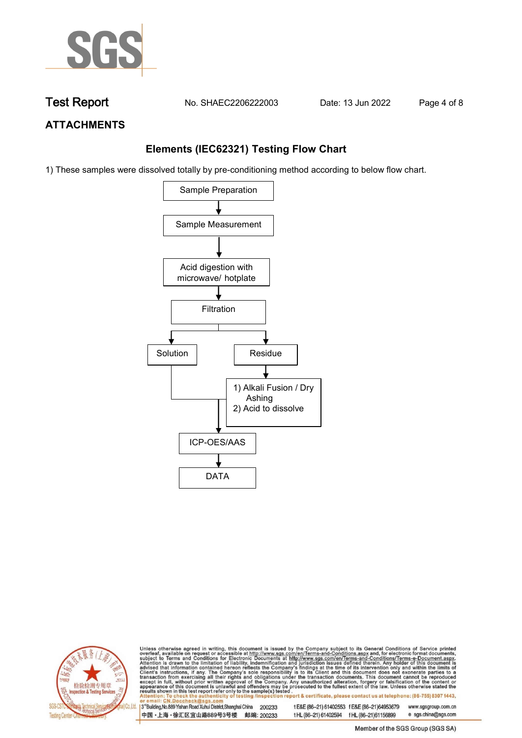

**Test Report. No. SHAEC2206222003 . Date: 13 Jun 2022. Page 4 of 8.**

## **ATTACHMENTS**

## **Elements (IEC62321) Testing Flow Chart**

1) These samples were dissolved totally by pre-conditioning method according to below flow chart.





Unless otherwise agreed in writing, this document is issued by the Company subject to its General Conditions of Service printed overleaf, available on request or accessible at http://www.sgs.com/en/Terms-and-Conditions.asp

3<sup>rd</sup> Building, No.889 Yishan Road Xuhui District, Shanghai China 200233 中国·上海·徐汇区宜山路889号3号楼 邮编: 200233 tE&E (86-21) 61402553 fE&E (86-21)64953679 www.sgsgroup.com.cn e sgs.china@sgs.com t HL (86-21) 61402594 f HL (86-21) 61156899

Member of the SGS Group (SGS SA)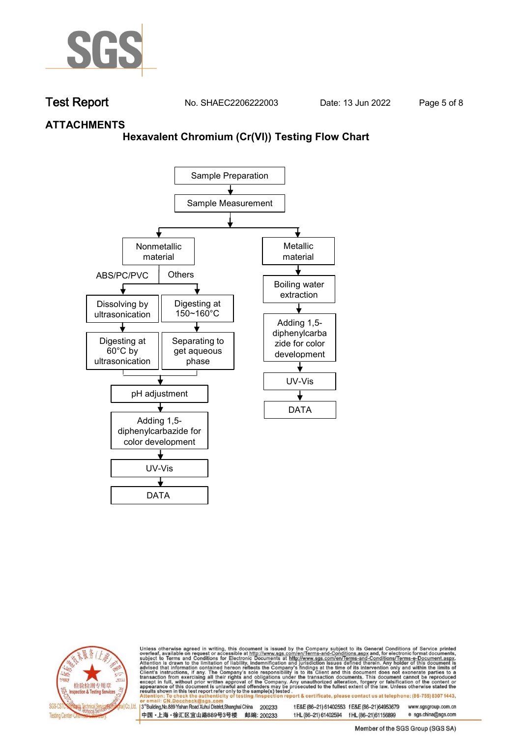

**Test Report. No. SHAEC2206222003 . Date: 13 Jun 2022. Page 5 of 8.**

### **ATTACHMENTS**

### **Hexavalent Chromium (Cr(VI)) Testing Flow Chart**





Unless otherwise agreed in writing, this document is issued by the Company subject to its General Conditions of Service printed overleaf, available on request or accessible at http://www.sgs.com/en/Terms-and-Conditions.asp

3<sup>rd</sup> Building, No.889 Yishan Road Xuhui District, Shanghai China 200233 中国·上海·徐汇区宜山路889号3号楼 邮编: 200233 tE&E (86-21) 61402553 fE&E (86-21)64953679 www.sgsgroup.com.cn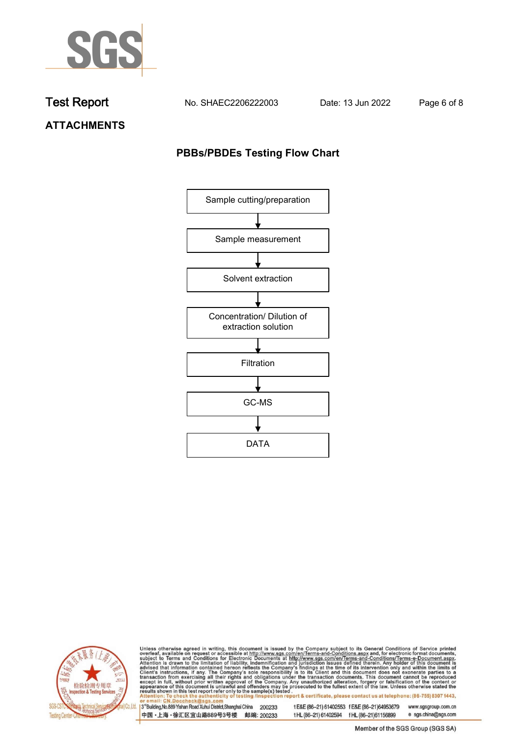

**Test Report. No. SHAEC2206222003 . Date: 13 Jun 2022. Page 6 of 8.**

**ATTACHMENTS**

# **PBBs/PBDEs Testing Flow Chart**





Unless otherwise agreed in writing, this document is issued by the Company subject to its General Conditions of Service printed overleaf, available on request or accessible at http://www.sgs.com/en/Terms-and-Conditions.asp

3<sup>'</sup>Building, No.889 Yishan Road Xuhui District, Shanghai China 200233 中国·上海·徐汇区宜山路889号3号楼 邮编: 200233

tE&E (86-21) 61402553 fE&E (86-21)64953679 www.sgsgroup.com.cn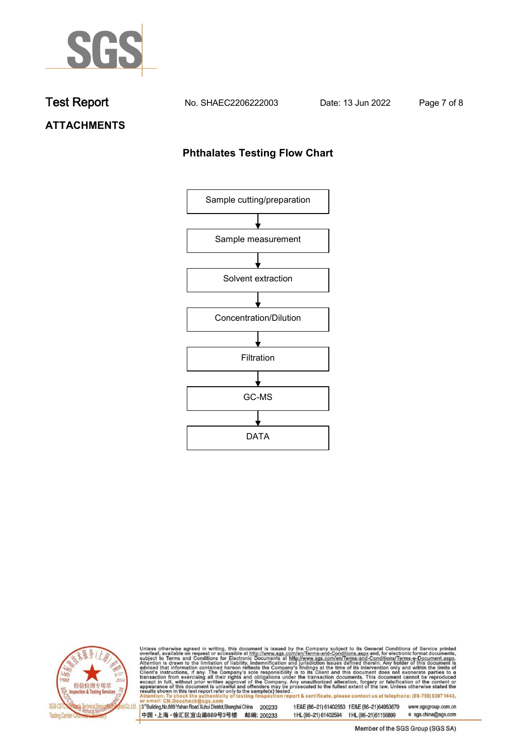

**Test Report. No. SHAEC2206222003 . Date: 13 Jun 2022. Page 7 of 8.**

# **ATTACHMENTS**

## **Phthalates Testing Flow Chart**





Unless otherwise agreed in writing, this document is issued by the Company subject to its General Conditions of Service printed overleaf, available on request or accessible at http://www.sgs.com/en/Terms-and-Conditions.asp

3<sup>'</sup>Building, No.889 Yishan Road Xuhui District, Shanghai China 200233 中国·上海·徐汇区宜山路889号3号楼 邮编: 200233

tE&E (86-21) 61402553 fE&E (86-21)64953679 www.sgsgroup.com.cn

e sgs.china@sgs.com t HL (86-21) 61402594 f HL (86-21) 61156899